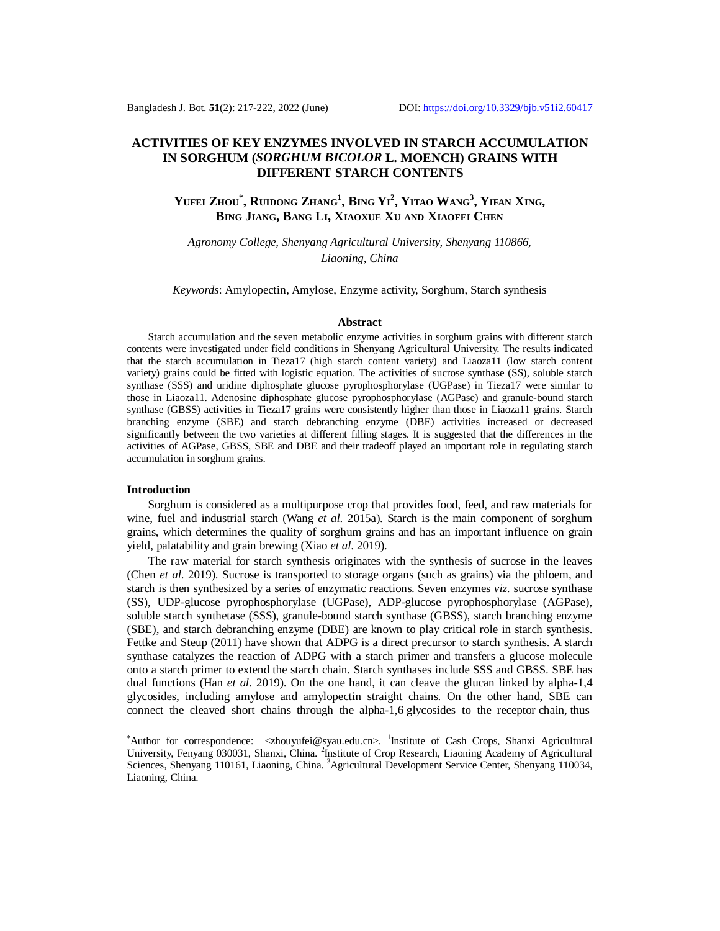## **ACTIVITIES OF KEY ENZYMES INVOLVED IN STARCH ACCUMULATION IN SORGHUM (***SORGHUM BICOLOR* **L. MOENCH) GRAINS WITH DIFFERENT STARCH CONTENTS**

# Yufei Zhou\*, Ruidong Zhang<sup>1</sup>, Bing Yi<sup>2</sup>, Yitao Wang<sup>3</sup>, Yifan Xing, **BING JIANG, BANG LI, XIAOXUE XU AND XIAOFEI CHEN**

*Agronomy College, Shenyang Agricultural University, Shenyang 110866, Liaoning, China*

*Keywords*: Amylopectin, Amylose, Enzyme activity, Sorghum, Starch synthesis

#### **Abstract**

Starch accumulation and the seven metabolic enzyme activities in sorghum grains with different starch contents were investigated under field conditions in Shenyang Agricultural University. The results indicated that the starch accumulation in Tieza17 (high starch content variety) and Liaoza11 (low starch content variety) grains could be fitted with logistic equation. The activities of sucrose synthase (SS), soluble starch synthase (SSS) and uridine diphosphate glucose pyrophosphorylase (UGPase) in Tieza17 were similar to those in Liaoza11. Adenosine diphosphate glucose pyrophosphorylase (AGPase) and granule-bound starch synthase (GBSS) activities in Tieza17 grains were consistently higher than those in Liaoza11 grains. Starch branching enzyme (SBE) and starch debranching enzyme (DBE) activities increased or decreased significantly between the two varieties at different filling stages. It is suggested that the differences in the activities of AGPase, GBSS, SBE and DBE and their tradeoff played an important role in regulating starch accumulation in sorghum grains.

#### **Introduction**

Sorghum is considered as a multipurpose crop that provides food, feed, and raw materials for wine, fuel and industrial starch (Wang *et al*. 2015a). Starch is the main component of sorghum grains, which determines the quality of sorghum grains and has an important influence on grain yield, palatability and grain brewing (Xiao *et al*. 2019).

The raw material for starch synthesis originates with the synthesis of sucrose in the leaves (Chen *et al*. 2019). Sucrose is transported to storage organs (such as grains) via the phloem, and starch is then synthesized by a series of enzymatic reactions. Seven enzymes *viz.* sucrose synthase (SS), UDP-glucose pyrophosphorylase (UGPase), ADP-glucose pyrophosphorylase (AGPase), soluble starch synthetase (SSS), granule-bound starch synthase (GBSS), starch branching enzyme (SBE), and starch debranching enzyme (DBE) are known to play critical role in starch synthesis. Fettke and Steup (2011) have shown that ADPG is a direct precursor to starch synthesis. A starch synthase catalyzes the reaction of ADPG with a starch primer and transfers a glucose molecule onto a starch primer to extend the starch chain. Starch synthases include SSS and GBSS. SBE has dual functions (Han *et al*. 2019). On the one hand, it can cleave the glucan linked by alpha-1,4 glycosides, including amylose and amylopectin straight chains. On the other hand, SBE can connect the cleaved short chains through the alpha-1,6 glycosides to the receptor chain, thus

<sup>\*</sup>Author for correspondence: [<zhouyufei@syau.edu.cn](mailto:zhouyufei@syau.edu.cn)>. <sup>1</sup>Institute of Cash Crops, Shanxi Agricultural University, Fenyang 030031, Shanxi, China. <sup>2</sup>Institute of Crop Research, Liaoning Academy of Agricultural Sciences, Shenyang 110161, Liaoning, China. <sup>3</sup>Agricultural Development Service Center, Shenyang 110034, Liaoning, China.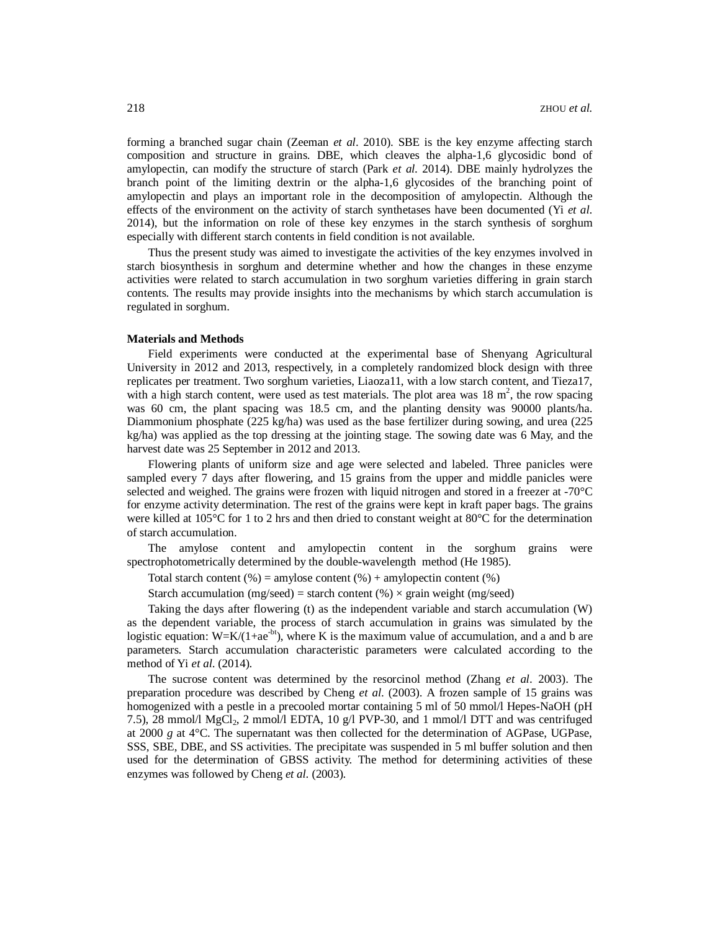forming a branched sugar chain (Zeeman *et al*. 2010). SBE is the key enzyme affecting starch composition and structure in grains. DBE, which cleaves the alpha-1,6 glycosidic bond of amylopectin, can modify the structure of starch (Park *et al*. 2014). DBE mainly hydrolyzes the branch point of the limiting dextrin or the alpha-1,6 glycosides of the branching point of amylopectin and plays an important role in the decomposition of amylopectin. Although the effects of the environment on the activity of starch synthetases have been documented (Yi *et al*. 2014), but the information on role of these key enzymes in the starch synthesis of sorghum especially with different starch contents in field condition is not available.

Thus the present study was aimed to investigate the activities of the key enzymes involved in starch biosynthesis in sorghum and determine whether and how the changes in these enzyme activities were related to starch accumulation in two sorghum varieties differing in grain starch contents. The results may provide insights into the mechanisms by which starch accumulation is regulated in sorghum.

#### **Materials and Methods**

Field experiments were conducted at the experimental base of Shenyang Agricultural University in 2012 and 2013, respectively, in a completely randomized block design with three replicates per treatment. Two sorghum varieties, Liaoza11, with a low starch content, and Tieza17, with a high starch content, were used as test materials. The plot area was  $18 \text{ m}^2$ , the row spacing was 60 cm, the plant spacing was 18.5 cm, and the planting density was 90000 plants/ha. Diammonium phosphate (225 kg/ha) was used as the base fertilizer during sowing, and urea (225 kg/ha) was applied as the top dressing at the jointing stage. The sowing date was 6 May, and the harvest date was 25 September in 2012 and 2013.

Flowering plants of uniform size and age were selected and labeled. Three panicles were sampled every 7 days after flowering, and 15 grains from the upper and middle panicles were selected and weighed. The grains were frozen with liquid nitrogen and stored in a freezer at -70°C for enzyme activity determination. The rest of the grains were kept in kraft paper bags. The grains were killed at 105°C for 1 to 2 hrs and then dried to constant weight at 80°C for the determination of starch accumulation.

The amylose content and amylopectin content in the sorghum grains were spectrophotometrically determined by the double-wavelength method (He 1985).

Total starch content  $(\%)$  = amylose content  $(\%)$  + amylopectin content  $(\%)$ 

Starch accumulation (mg/seed) = starch content (%)  $\times$  grain weight (mg/seed)

Taking the days after flowering (t) as the independent variable and starch accumulation (W) as the dependent variable, the process of starch accumulation in grains was simulated by the logistic equation:  $W=K/(1+ae^{-bt})$ , where K is the maximum value of accumulation, and a and b are parameters. Starch accumulation characteristic parameters were calculated according to the method of Yi *et al*. (2014).

The sucrose content was determined by the resorcinol method (Zhang *et al*. 2003). The preparation procedure was described by Cheng *et al*. (2003). A frozen sample of 15 grains was homogenized with a pestle in a precooled mortar containing 5 ml of 50 mmol/l Hepes-NaOH (pH 7.5), 28 mmol/l MgCl<sub>2</sub>, 2 mmol/l EDTA, 10 g/l PVP-30, and 1 mmol/l DTT and was centrifuged at 2000 *g* at 4°C. The supernatant was then collected for the determination of AGPase, UGPase, SSS, SBE, DBE, and SS activities. The precipitate was suspended in 5 ml buffer solution and then used for the determination of GBSS activity. The method for determining activities of these enzymes was followed by Cheng *et al*. (2003).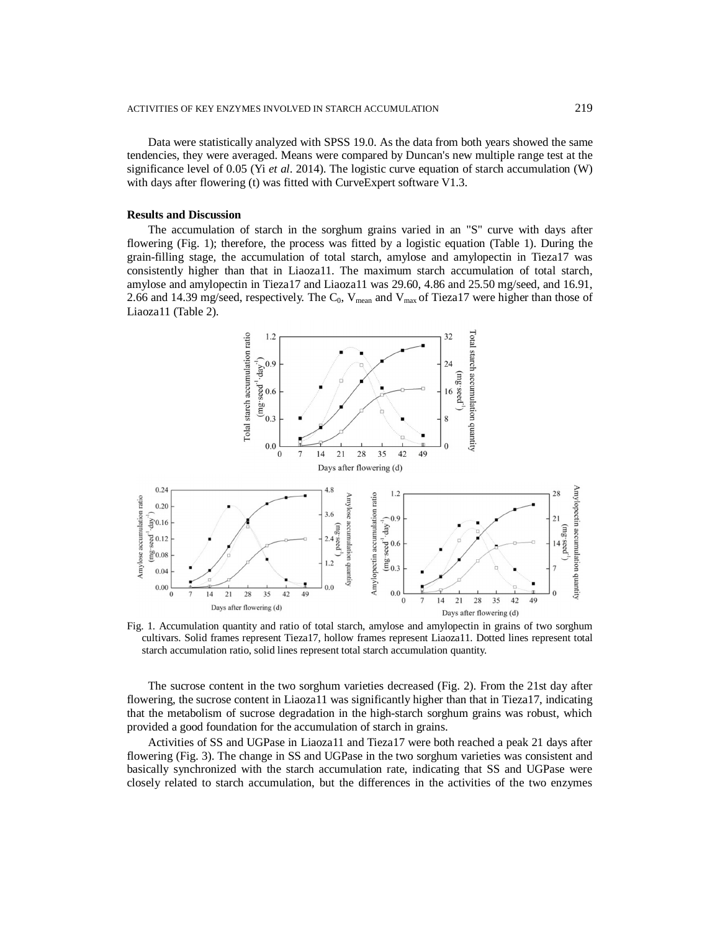Data were statistically analyzed with SPSS 19.0. As the data from both years showed the same tendencies, they were averaged. Means were compared by Duncan's new multiple range test at the significance level of 0.05 (Yi *et al*. 2014). The logistic curve equation of starch accumulation (W) with days after flowering (t) was fitted with CurveExpert software V1.3.

### **Results and Discussion**

The accumulation of starch in the sorghum grains varied in an "S" curve with days after flowering (Fig. 1); therefore, the process was fitted by a logistic equation (Table 1). During the grain-filling stage, the accumulation of total starch, amylose and amylopectin in Tieza17 was consistently higher than that in Liaoza11. The maximum starch accumulation of total starch, amylose and amylopectin in Tieza17 and Liaoza11 was 29.60, 4.86 and 25.50 mg/seed, and 16.91, 2.66 and 14.39 mg/seed, respectively. The  $C_0$ ,  $V_{mean}$  and  $V_{max}$  of Tieza17 were higher than those of Liaoza11 (Table 2).



Fig. 1. Accumulation quantity and ratio of total starch, amylose and amylopectin in grains of two sorghum cultivars. Solid frames represent Tieza17, hollow frames represent Liaoza11. Dotted lines represent total starch accumulation ratio, solid lines represent total starch accumulation quantity.

The sucrose content in the two sorghum varieties decreased (Fig. 2). From the 21st day after flowering, the sucrose content in Liaoza11 was significantly higher than that in Tieza17, indicating that the metabolism of sucrose degradation in the high-starch sorghum grains was robust, which provided a good foundation for the accumulation of starch in grains.

Activities of SS and UGPase in Liaoza11 and Tieza17 were both reached a peak 21 days after flowering (Fig. 3). The change in SS and UGPase in the two sorghum varieties was consistent and basically synchronized with the starch accumulation rate, indicating that SS and UGPase were closely related to starch accumulation, but the differences in the activities of the two enzymes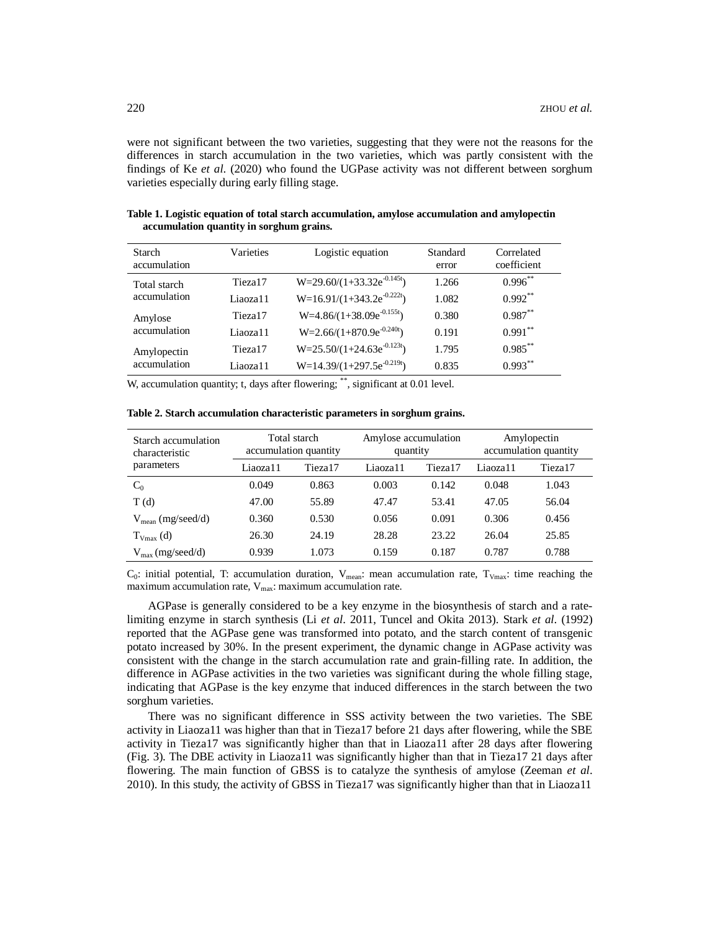were not significant between the two varieties, suggesting that they were not the reasons for the differences in starch accumulation in the two varieties, which was partly consistent with the findings of Ke *et al*. (2020) who found the UGPase activity was not different between sorghum varieties especially during early filling stage.

| Starch<br>accumulation       | Varieties           | Logistic equation              | Standard<br>error | Correlated<br>coefficient |
|------------------------------|---------------------|--------------------------------|-------------------|---------------------------|
| Total starch<br>accumulation | Tieza <sub>17</sub> | $W=29.60/(1+33.32e^{-0.145t})$ | 1.266             | $0.996***$                |
|                              | Liaoza11            | $W=16.91/(1+343.2e^{-0.222t})$ | 1.082             | $0.992**$                 |
| Amylose<br>accumulation      | Tieza <sub>17</sub> | $W=4.86/(1+38.09e^{-0.155t})$  | 0.380             | $0.987**$                 |
|                              | Liaoza11            | $W=2.66/(1+870.9e^{-0.240t})$  | 0.191             | $0.991***$                |
| Amylopectin<br>accumulation  | Tieza <sub>17</sub> | $W=25.50/(1+24.63e^{-0.123t})$ | 1.795             | $0.985***$                |
|                              | Liaoza11            | $W=14.39/(1+297.5e^{-0.219t})$ | 0.835             | $0.993***$                |

**Table 1. Logistic equation of total starch accumulation, amylose accumulation and amylopectin accumulation quantity in sorghum grains.**

W, accumulation quantity; t, days after flowering; \*\*, significant at 0.01 level.

**Table 2. Starch accumulation characteristic parameters in sorghum grains.**

| Starch accumulation<br>characteristic<br>parameters | Total starch<br>accumulation quantity |         | Amylose accumulation<br>quantity |         | Amylopectin<br>accumulation quantity |                     |
|-----------------------------------------------------|---------------------------------------|---------|----------------------------------|---------|--------------------------------------|---------------------|
|                                                     | Liaoza11                              | Tieza17 | Liaoza11                         | Tieza17 | Liaoza11                             | Tieza <sub>17</sub> |
| $C_0$                                               | 0.049                                 | 0.863   | 0.003                            | 0.142   | 0.048                                | 1.043               |
| T(d)                                                | 47.00                                 | 55.89   | 47.47                            | 53.41   | 47.05                                | 56.04               |
| $V_{\text{mean}}$ (mg/seed/d)                       | 0.360                                 | 0.530   | 0.056                            | 0.091   | 0.306                                | 0.456               |
| $T_{V_{\text{max}}}(d)$                             | 26.30                                 | 24.19   | 28.28                            | 23.22   | 26.04                                | 25.85               |
| $V_{\text{max}}$ (mg/seed/d)                        | 0.939                                 | 1.073   | 0.159                            | 0.187   | 0.787                                | 0.788               |

 $C_0$ : initial potential, T: accumulation duration, V<sub>mean</sub>: mean accumulation rate, T<sub>Vmax</sub>: time reaching the maximum accumulation rate,  $V_{\text{max}}$ : maximum accumulation rate.

AGPase is generally considered to be a key enzyme in the biosynthesis of starch and a ratelimiting enzyme in starch synthesis (Li *et al*. 2011, Tuncel and Okita 2013). Stark *et al*. (1992) reported that the AGPase gene was transformed into potato, and the starch content of transgenic potato increased by 30%. In the present experiment, the dynamic change in AGPase activity was consistent with the change in the starch accumulation rate and grain-filling rate. In addition, the difference in AGPase activities in the two varieties was significant during the whole filling stage, indicating that AGPase is the key enzyme that induced differences in the starch between the two sorghum varieties.

There was no significant difference in SSS activity between the two varieties. The SBE activity in Liaoza11 was higher than that in Tieza17 before 21 days after flowering, while the SBE activity in Tieza17 was significantly higher than that in Liaoza11 after 28 days after flowering (Fig. 3). The DBE activity in Liaoza11 was significantly higher than that in Tieza17 21 days after flowering. The main function of GBSS is to catalyze the synthesis of amylose (Zeeman *et al*. 2010). In this study, the activity of GBSS in Tieza17 was significantly higher than that in Liaoza11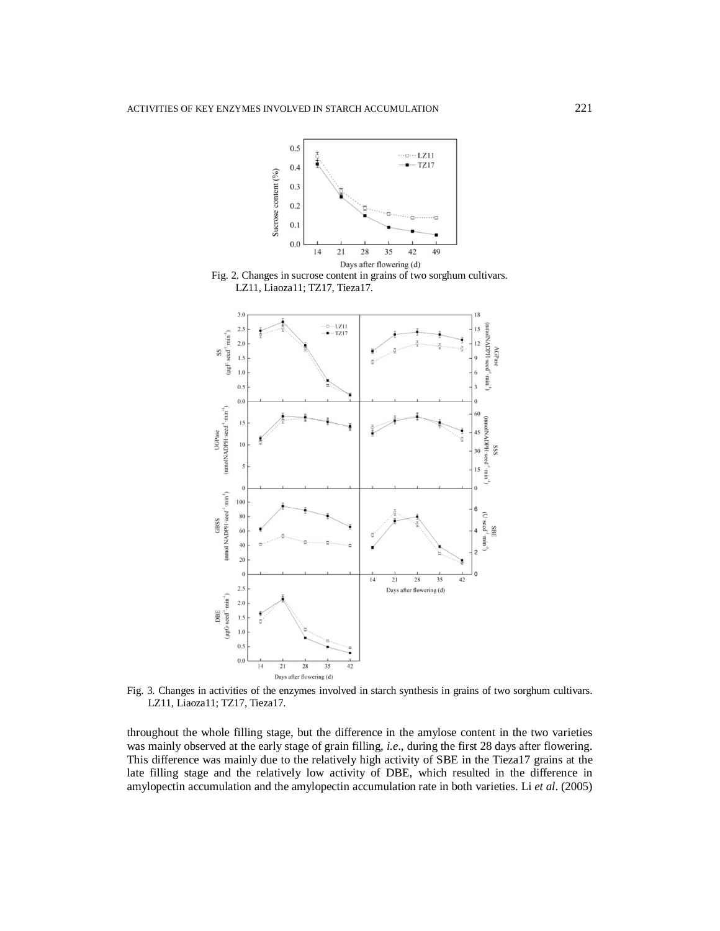





Fig. 3. Changes in activities of the enzymes involved in starch synthesis in grains of two sorghum cultivars. LZ11, Liaoza11; TZ17, Tieza17.

throughout the whole filling stage, but the difference in the amylose content in the two varieties was mainly observed at the early stage of grain filling, *i.e*., during the first 28 days after flowering. This difference was mainly due to the relatively high activity of SBE in the Tieza17 grains at the late filling stage and the relatively low activity of DBE, which resulted in the difference in amylopectin accumulation and the amylopectin accumulation rate in both varieties. Li *et al*. (2005)